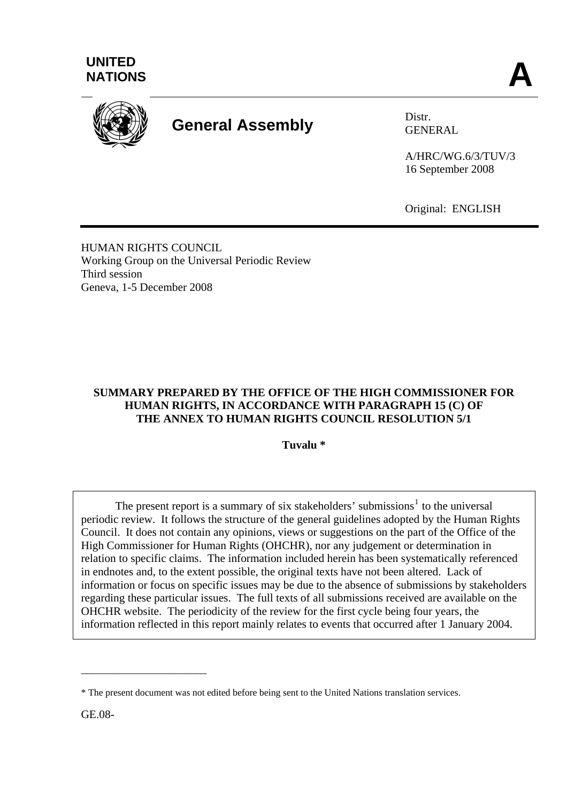



# **General Assembly** Distr.

GENERAL

A/HRC/WG.6/3/TUV/3 16 September 2008

Original: ENGLISH

HUMAN RIGHTS COUNCIL Working Group on the Universal Periodic Review Third session Geneva, 1-5 December 2008

# **SUMMARY PREPARED BY THE OFFICE OF THE HIGH COMMISSIONER FOR HUMAN RIGHTS, IN ACCORDANCE WITH PARAGRAPH 15 (C) OF THE ANNEX TO HUMAN RIGHTS COUNCIL RESOLUTION 5/1**

**Tuvalu \*** 

The present report is a summary of six stakeholders' submissions<sup>[1](#page-10-0)</sup> to the universal periodic review. It follows the structure of the general guidelines adopted by the Human Rights Council. It does not contain any opinions, views or suggestions on the part of the Office of the High Commissioner for Human Rights (OHCHR), nor any judgement or determination in relation to specific claims. The information included herein has been systematically referenced in endnotes and, to the extent possible, the original texts have not been altered. Lack of information or focus on specific issues may be due to the absence of submissions by stakeholders regarding these particular issues. The full texts of all submissions received are available on the OHCHR website. The periodicity of the review for the first cycle being four years, the information reflected in this report mainly relates to events that occurred after 1 January 2004.

GE.08-

\_\_\_\_\_\_\_\_\_\_\_\_\_\_\_\_\_\_\_\_\_\_\_\_

<sup>\*</sup> The present document was not edited before being sent to the United Nations translation services.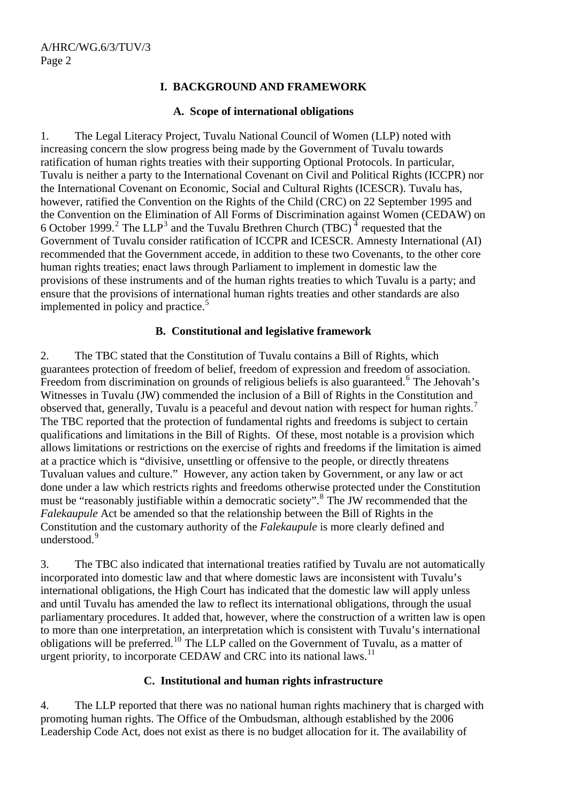# **I. BACKGROUND AND FRAMEWORK**

## **A. Scope of international obligations**

1. The Legal Literacy Project, Tuvalu National Council of Women (LLP) noted with increasing concern the slow progress being made by the Government of Tuvalu towards ratification of human rights treaties with their supporting Optional Protocols. In particular, Tuvalu is neither a party to the International Covenant on Civil and Political Rights (ICCPR) nor the International Covenant on Economic, Social and Cultural Rights (ICESCR). Tuvalu has, however, ratified the Convention on the Rights of the Child (CRC) on 22 September 1995 and the Convention on the Elimination of All Forms of Discrimination against Women (CEDAW) on 6 October 1999.<sup>[2](#page-10-1)</sup> The LLP<sup>[3](#page-10-1)</sup> and the Tuvalu Brethren Church (TBC)<sup> $4$ </sup> requested that the Government of Tuvalu consider ratification of ICCPR and ICESCR. Amnesty International (AI) recommended that the Government accede, in addition to these two Covenants, to the other core human rights treaties; enact laws through Parliament to implement in domestic law the provisions of these instruments and of the human rights treaties to which Tuvalu is a party; and ensure that the provisions of international human rights treaties and other standards are also implemented in policy and practice. $5$ 

## **B. Constitutional and legislative framework**

2. The TBC stated that the Constitution of Tuvalu contains a Bill of Rights, which guarantees protection of freedom of belief, freedom of expression and freedom of association. Freedom from discrimination on grounds of religious beliefs is also guaranteed.<sup>[6](#page-10-1)</sup> The Jehovah's Witnesses in Tuvalu (JW) commended the inclusion of a Bill of Rights in the Constitution and observed that, generally, Tuvalu is a peaceful and devout nation with respect for human rights.<sup>[7](#page-10-1)</sup> The TBC reported that the protection of fundamental rights and freedoms is subject to certain qualifications and limitations in the Bill of Rights. Of these, most notable is a provision which allows limitations or restrictions on the exercise of rights and freedoms if the limitation is aimed at a practice which is "divisive, unsettling or offensive to the people, or directly threatens Tuvaluan values and culture." However, any action taken by Government, or any law or act done under a law which restricts rights and freedoms otherwise protected under the Constitution must be "reasonably justifiable within a democratic society".<sup>[8](#page-10-1)</sup> The JW recommended that the *Falekaupule* Act be amended so that the relationship between the Bill of Rights in the Constitution and the customary authority of the *Falekaupule* is more clearly defined and understood.<sup>[9](#page-10-1)</sup>

3. The TBC also indicated that international treaties ratified by Tuvalu are not automatically incorporated into domestic law and that where domestic laws are inconsistent with Tuvalu's international obligations, the High Court has indicated that the domestic law will apply unless and until Tuvalu has amended the law to reflect its international obligations, through the usual parliamentary procedures. It added that, however, where the construction of a written law is open to more than one interpretation, an interpretation which is consistent with Tuvalu's international obligations will be preferred.[10](#page-10-1) The LLP called on the Government of Tuvalu, as a matter of urgent priority, to incorporate CEDAW and CRC into its national laws.<sup>[11](#page-10-1)</sup>

## **C. Institutional and human rights infrastructure**

4. The LLP reported that there was no national human rights machinery that is charged with promoting human rights. The Office of the Ombudsman, although established by the 2006 Leadership Code Act, does not exist as there is no budget allocation for it. The availability of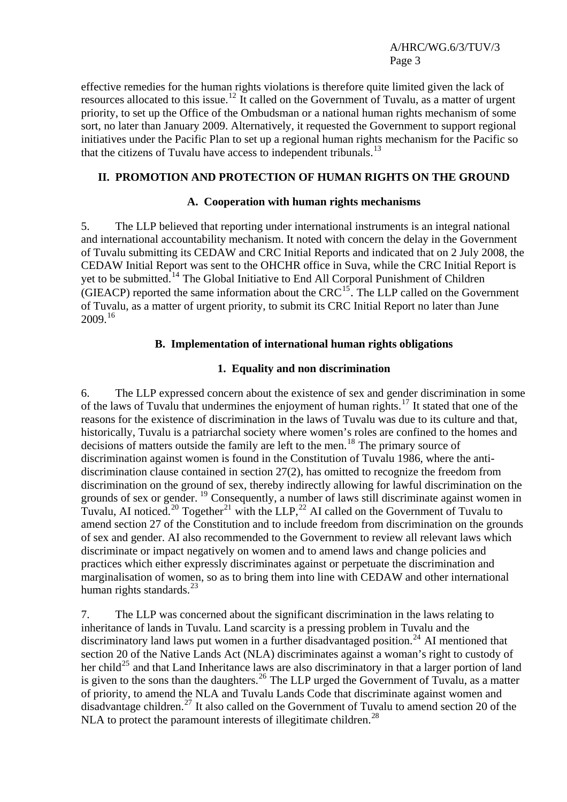effective remedies for the human rights violations is therefore quite limited given the lack of resources allocated to this issue.[12](#page-10-1) It called on the Government of Tuvalu, as a matter of urgent priority, to set up the Office of the Ombudsman or a national human rights mechanism of some sort, no later than January 2009. Alternatively, it requested the Government to support regional initiatives under the Pacific Plan to set up a regional human rights mechanism for the Pacific so that the citizens of Tuvalu have access to independent tribunals.<sup>[13](#page-10-1)</sup>

## **II. PROMOTION AND PROTECTION OF HUMAN RIGHTS ON THE GROUND**

#### **A. Cooperation with human rights mechanisms**

5. The LLP believed that reporting under international instruments is an integral national and international accountability mechanism. It noted with concern the delay in the Government of Tuvalu submitting its CEDAW and CRC Initial Reports and indicated that on 2 July 2008, the CEDAW Initial Report was sent to the OHCHR office in Suva, while the CRC Initial Report is yet to be submitted.<sup>[14](#page-10-1)</sup> The Global Initiative to End All Corporal Punishment of Children (GIEACP) reported the same information about the  $CRC^{15}$  $CRC^{15}$  $CRC^{15}$ . The LLP called on the Government of Tuvalu, as a matter of urgent priority, to submit its CRC Initial Report no later than June 2009.[16](#page-10-1)

## **B. Implementation of international human rights obligations**

#### **1. Equality and non discrimination**

6. The LLP expressed concern about the existence of sex and gender discrimination in some of the laws of Tuvalu that undermines the enjoyment of human rights.[17](#page-10-1) It stated that one of the reasons for the existence of discrimination in the laws of Tuvalu was due to its culture and that, historically, Tuvalu is a patriarchal society where women's roles are confined to the homes and decisions of matters outside the family are left to the men.<sup>[18](#page-10-1)</sup> The primary source of discrimination against women is found in the Constitution of Tuvalu 1986, where the antidiscrimination clause contained in section 27(2), has omitted to recognize the freedom from discrimination on the ground of sex, thereby indirectly allowing for lawful discrimination on the grounds of sex or gender. [19](#page-10-1) Consequently, a number of laws still discriminate against women in Tuvalu, AI noticed.<sup>[20](#page-10-1)</sup> Together<sup>[21](#page-10-1)</sup> with the LLP,<sup>[22](#page-10-1)</sup> AI called on the Government of Tuvalu to amend section 27 of the Constitution and to include freedom from discrimination on the grounds of sex and gender. AI also recommended to the Government to review all relevant laws which discriminate or impact negatively on women and to amend laws and change policies and practices which either expressly discriminates against or perpetuate the discrimination and marginalisation of women, so as to bring them into line with CEDAW and other international human rights standards.<sup>[23](#page-10-1)</sup>

7. The LLP was concerned about the significant discrimination in the laws relating to inheritance of lands in Tuvalu. Land scarcity is a pressing problem in Tuvalu and the discriminatory land laws put women in a further disadvantaged position.<sup>[24](#page-10-1)</sup> AI mentioned that section 20 of the Native Lands Act (NLA) discriminates against a woman's right to custody of her child<sup>[25](#page-10-1)</sup> and that Land Inheritance laws are also discriminatory in that a larger portion of land is given to the sons than the daughters.<sup>[26](#page-10-1)</sup> The LLP urged the Government of Tuvalu, as a matter of priority, to amend the NLA and Tuvalu Lands Code that discriminate against women and disadvantage children.[27](#page-10-1) It also called on the Government of Tuvalu to amend section 20 of the NLA to protect the paramount interests of illegitimate children.<sup>[28](#page-10-1)</sup>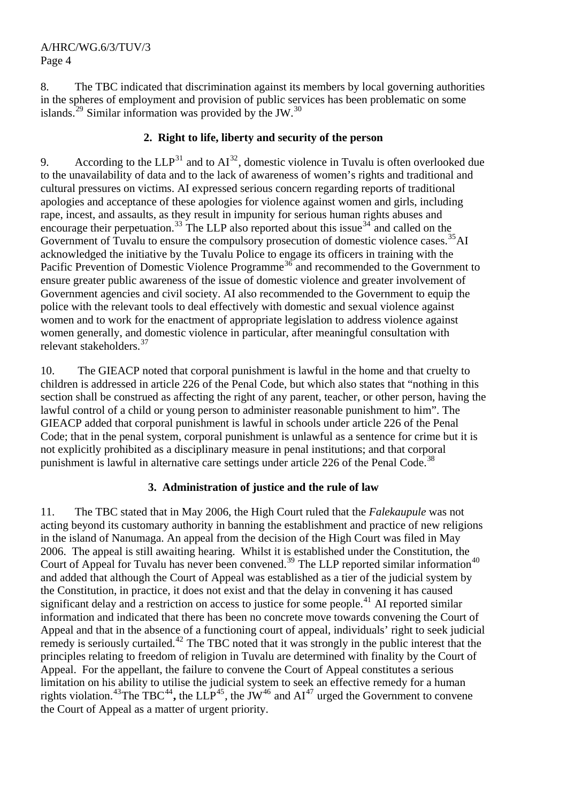8. The TBC indicated that discrimination against its members by local governing authorities in the spheres of employment and provision of public services has been problematic on some islands.<sup>[29](#page-10-1)</sup> Similar information was provided by the JW.<sup>[30](#page-10-1)</sup>

# **2. Right to life, liberty and security of the person**

9. According to the  $LLP^{31}$  $LLP^{31}$  $LLP^{31}$  and to  $AI^{32}$  $AI^{32}$  $AI^{32}$ , domestic violence in Tuvalu is often overlooked due to the unavailability of data and to the lack of awareness of women's rights and traditional and cultural pressures on victims. AI expressed serious concern regarding reports of traditional apologies and acceptance of these apologies for violence against women and girls, including rape, incest, and assaults, as they result in impunity for serious human rights abuses and encourage their perpetuation.<sup>[33](#page-10-1)</sup> The LLP also reported about this issue<sup>[34](#page-10-1)</sup> and called on the Government of Tuvalu to ensure the compulsory prosecution of domestic violence cases.<sup>[35](#page-10-1)</sup>AI acknowledged the initiative by the Tuvalu Police to engage its officers in training with the Pacific Prevention of Domestic Violence Programme<sup>[36](#page-10-1)</sup> and recommended to the Government to ensure greater public awareness of the issue of domestic violence and greater involvement of Government agencies and civil society. AI also recommended to the Government to equip the police with the relevant tools to deal effectively with domestic and sexual violence against women and to work for the enactment of appropriate legislation to address violence against women generally, and domestic violence in particular, after meaningful consultation with relevant stakeholders.<sup>[37](#page-10-1)</sup>

10. The GIEACP noted that corporal punishment is lawful in the home and that cruelty to children is addressed in article 226 of the Penal Code, but which also states that "nothing in this section shall be construed as affecting the right of any parent, teacher, or other person, having the lawful control of a child or young person to administer reasonable punishment to him". The GIEACP added that corporal punishment is lawful in schools under article 226 of the Penal Code; that in the penal system, corporal punishment is unlawful as a sentence for crime but it is not explicitly prohibited as a disciplinary measure in penal institutions; and that corporal punishment is lawful in alternative care settings under article 226 of the Penal Code.<sup>[38](#page-10-1)</sup>

# **3. Administration of justice and the rule of law**

11. The TBC stated that in May 2006, the High Court ruled that the *Falekaupule* was not acting beyond its customary authority in banning the establishment and practice of new religions in the island of Nanumaga. An appeal from the decision of the High Court was filed in May 2006. The appeal is still awaiting hearing. Whilst it is established under the Constitution, the Court of Appeal for Tuvalu has never been convened.<sup>[39](#page-10-1)</sup> The LLP reported similar information<sup>[40](#page-10-1)</sup> and added that although the Court of Appeal was established as a tier of the judicial system by the Constitution, in practice, it does not exist and that the delay in convening it has caused significant delay and a restriction on access to justice for some people.<sup>[41](#page-10-1)</sup> AI reported similar information and indicated that there has been no concrete move towards convening the Court of Appeal and that in the absence of a functioning court of appeal, individuals' right to seek judicial remedy is seriously curtailed.<sup>[42](#page-10-1)</sup> The TBC noted that it was strongly in the public interest that the principles relating to freedom of religion in Tuvalu are determined with finality by the Court of Appeal. For the appellant, the failure to convene the Court of Appeal constitutes a serious limitation on his ability to utilise the judicial system to seek an effective remedy for a human rights violation.<sup>[43](#page-10-1)</sup>The TBC<sup>[44](#page-10-1)</sup>, the LLP<sup>[45](#page-10-1)</sup>, the JW<sup>[46](#page-10-1)</sup> and  $AI^{47}$  $AI^{47}$  $AI^{47}$  urged the Government to convene the Court of Appeal as a matter of urgent priority.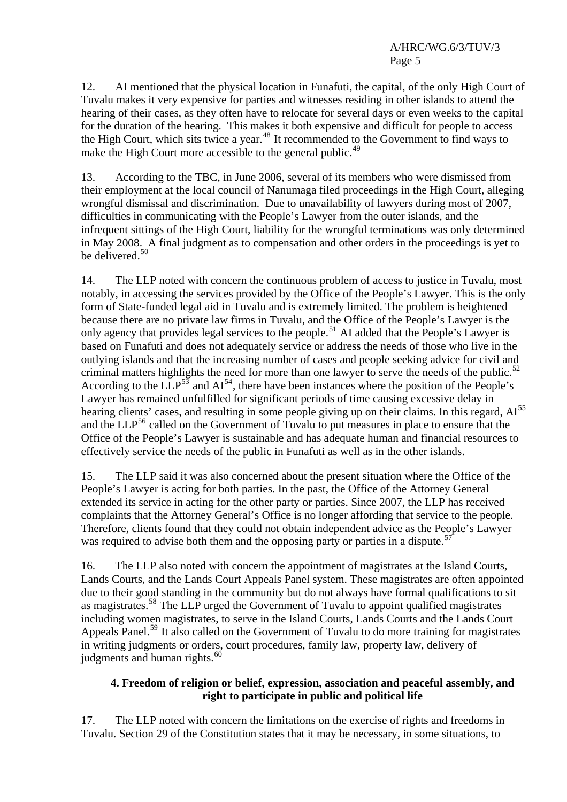12. AI mentioned that the physical location in Funafuti, the capital, of the only High Court of Tuvalu makes it very expensive for parties and witnesses residing in other islands to attend the hearing of their cases, as they often have to relocate for several days or even weeks to the capital for the duration of the hearing. This makes it both expensive and difficult for people to access the High Court, which sits twice a year.<sup>[48](#page-10-1)</sup> It recommended to the Government to find ways to make the High Court more accessible to the general public.<sup>[49](#page-10-1)</sup>

13. According to the TBC, in June 2006, several of its members who were dismissed from their employment at the local council of Nanumaga filed proceedings in the High Court, alleging wrongful dismissal and discrimination. Due to unavailability of lawyers during most of 2007, difficulties in communicating with the People's Lawyer from the outer islands, and the infrequent sittings of the High Court, liability for the wrongful terminations was only determined in May 2008. A final judgment as to compensation and other orders in the proceedings is yet to be delivered.<sup>[50](#page-10-1)</sup>

14. The LLP noted with concern the continuous problem of access to justice in Tuvalu, most notably, in accessing the services provided by the Office of the People's Lawyer. This is the only form of State-funded legal aid in Tuvalu and is extremely limited. The problem is heightened because there are no private law firms in Tuvalu, and the Office of the People's Lawyer is the only agency that provides legal services to the people.<sup>[51](#page-10-1)</sup> AI added that the People's Lawyer is based on Funafuti and does not adequately service or address the needs of those who live in the outlying islands and that the increasing number of cases and people seeking advice for civil and criminal matters highlights the need for more than one lawyer to serve the needs of the public.<sup>[52](#page-10-1)</sup> According to the  $\text{LLP}^{53}$  $\text{LLP}^{53}$  $\text{LLP}^{53}$  and  $\text{AI}^{54}$  $\text{AI}^{54}$  $\text{AI}^{54}$ , there have been instances where the position of the People's Lawyer has remained unfulfilled for significant periods of time causing excessive delay in hearing clients' cases, and resulting in some people giving up on their claims. In this regard, AI<sup>[55](#page-10-1)</sup> and the LLP<sup>[56](#page-10-1)</sup> called on the Government of Tuvalu to put measures in place to ensure that the Office of the People's Lawyer is sustainable and has adequate human and financial resources to effectively service the needs of the public in Funafuti as well as in the other islands.

15. The LLP said it was also concerned about the present situation where the Office of the People's Lawyer is acting for both parties. In the past, the Office of the Attorney General extended its service in acting for the other party or parties. Since 2007, the LLP has received complaints that the Attorney General's Office is no longer affording that service to the people. Therefore, clients found that they could not obtain independent advice as the People's Lawyer was required to advise both them and the opposing party or parties in a dispute.<sup>[57](#page-10-1)</sup>

16. The LLP also noted with concern the appointment of magistrates at the Island Courts, Lands Courts, and the Lands Court Appeals Panel system. These magistrates are often appointed due to their good standing in the community but do not always have formal qualifications to sit as magistrates.<sup>[58](#page-10-1)</sup> The LLP urged the Government of Tuvalu to appoint qualified magistrates including women magistrates, to serve in the Island Courts, Lands Courts and the Lands Court Appeals Panel.<sup>[59](#page-10-1)</sup> It also called on the Government of Tuvalu to do more training for magistrates in writing judgments or orders, court procedures, family law, property law, delivery of judgments and human rights.<sup>[60](#page-10-1)</sup>

# **4. Freedom of religion or belief, expression, association and peaceful assembly, and right to participate in public and political life**

17. The LLP noted with concern the limitations on the exercise of rights and freedoms in Tuvalu. Section 29 of the Constitution states that it may be necessary, in some situations, to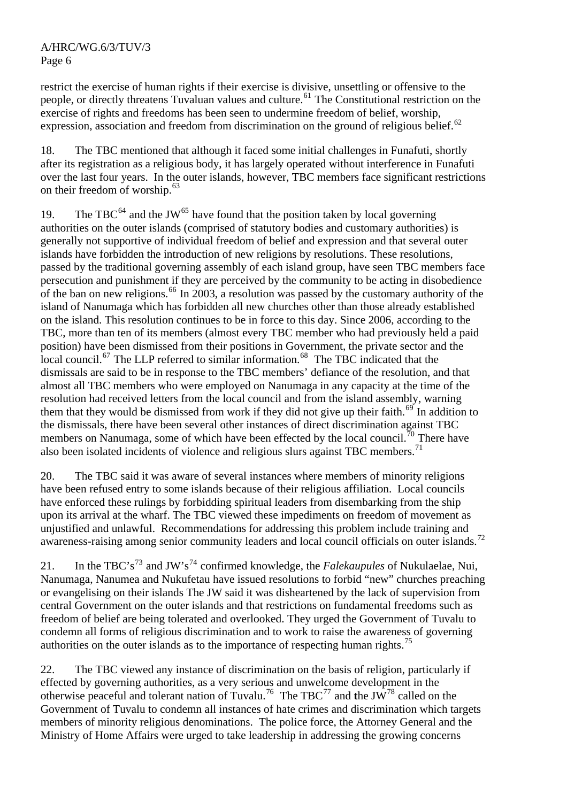restrict the exercise of human rights if their exercise is divisive, unsettling or offensive to the people, or directly threatens Tuvaluan values and culture.<sup>[61](#page-10-1)</sup> The Constitutional restriction on the exercise of rights and freedoms has been seen to undermine freedom of belief, worship, expression, association and freedom from discrimination on the ground of religious belief. $62$ 

18. The TBC mentioned that although it faced some initial challenges in Funafuti, shortly after its registration as a religious body, it has largely operated without interference in Funafuti over the last four years. In the outer islands, however, TBC members face significant restrictions on their freedom of worship. $63$ 

19. The TBC $^{64}$  $^{64}$  $^{64}$  and the JW $^{65}$  $^{65}$  $^{65}$  have found that the position taken by local governing authorities on the outer islands (comprised of statutory bodies and customary authorities) is generally not supportive of individual freedom of belief and expression and that several outer islands have forbidden the introduction of new religions by resolutions. These resolutions, passed by the traditional governing assembly of each island group, have seen TBC members face persecution and punishment if they are perceived by the community to be acting in disobedience of the ban on new religions.<sup>[66](#page-10-1)</sup> In 2003, a resolution was passed by the customary authority of the island of Nanumaga which has forbidden all new churches other than those already established on the island. This resolution continues to be in force to this day. Since 2006, according to the TBC, more than ten of its members (almost every TBC member who had previously held a paid position) have been dismissed from their positions in Government, the private sector and the local council.[67](#page-10-1) The LLP referred to similar information.[68](#page-10-1)The TBC indicated that the dismissals are said to be in response to the TBC members' defiance of the resolution, and that almost all TBC members who were employed on Nanumaga in any capacity at the time of the resolution had received letters from the local council and from the island assembly, warning them that they would be dismissed from work if they did not give up their faith.<sup>[69](#page-10-1)</sup> In addition to the dismissals, there have been several other instances of direct discrimination against TBC members on Nanumaga, some of which have been effected by the local council.<sup>[70](#page-10-1)</sup> There have also been isolated incidents of violence and religious slurs against TBC members.<sup>[71](#page-10-1)</sup>

20. The TBC said it was aware of several instances where members of minority religions have been refused entry to some islands because of their religious affiliation. Local councils have enforced these rulings by forbidding spiritual leaders from disembarking from the ship upon its arrival at the wharf. The TBC viewed these impediments on freedom of movement as unjustified and unlawful. Recommendations for addressing this problem include training and awareness-raising among senior community leaders and local council officials on outer islands.<sup>[72](#page-10-1)</sup>

21. In the TBC's[73](#page-10-1) and JW's[74](#page-10-1) confirmed knowledge, the *Falekaupules* of Nukulaelae, Nui, Nanumaga, Nanumea and Nukufetau have issued resolutions to forbid "new" churches preaching or evangelising on their islands The JW said it was disheartened by the lack of supervision from central Government on the outer islands and that restrictions on fundamental freedoms such as freedom of belief are being tolerated and overlooked. They urged the Government of Tuvalu to condemn all forms of religious discrimination and to work to raise the awareness of governing authorities on the outer islands as to the importance of respecting human rights.<sup>[75](#page-10-1)</sup>

22. The TBC viewed any instance of discrimination on the basis of religion, particularly if effected by governing authorities, as a very serious and unwelcome development in the otherwise peaceful and tolerant nation of Tuvalu.[76](#page-10-1) The TBC[77](#page-10-1) and **t**he JW[78](#page-10-1) called on the Government of Tuvalu to condemn all instances of hate crimes and discrimination which targets members of minority religious denominations. The police force, the Attorney General and the Ministry of Home Affairs were urged to take leadership in addressing the growing concerns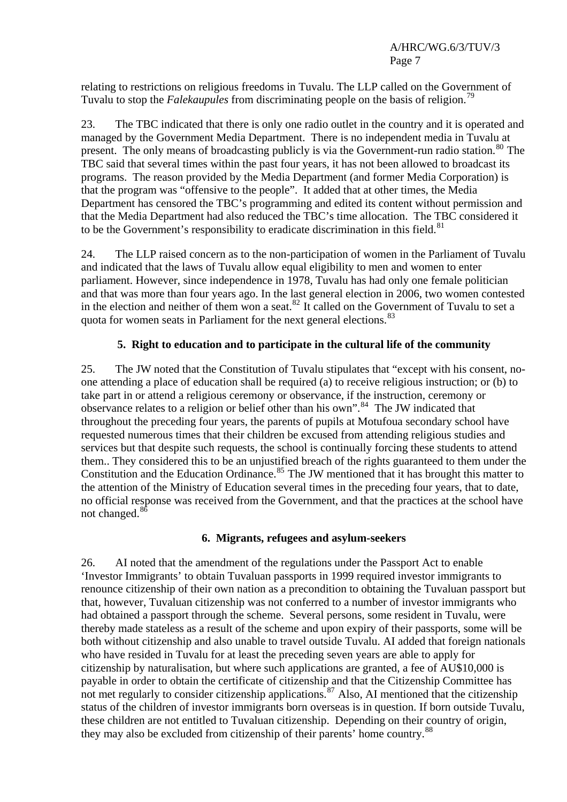relating to restrictions on religious freedoms in Tuvalu. The LLP called on the Government of Tuvalu to stop the *Falekaupules* from discriminating people on the basis of religion.<sup>[79](#page-10-1)</sup>

23. The TBC indicated that there is only one radio outlet in the country and it is operated and managed by the Government Media Department. There is no independent media in Tuvalu at present. The only means of broadcasting publicly is via the Government-run radio station.<sup>[80](#page-10-1)</sup> The TBC said that several times within the past four years, it has not been allowed to broadcast its programs. The reason provided by the Media Department (and former Media Corporation) is that the program was "offensive to the people". It added that at other times, the Media Department has censored the TBC's programming and edited its content without permission and that the Media Department had also reduced the TBC's time allocation. The TBC considered it to be the Government's responsibility to eradicate discrimination in this field. $81$ 

24. The LLP raised concern as to the non-participation of women in the Parliament of Tuvalu and indicated that the laws of Tuvalu allow equal eligibility to men and women to enter parliament. However, since independence in 1978, Tuvalu has had only one female politician and that was more than four years ago. In the last general election in 2006, two women contested in the election and neither of them won a seat.<sup>[82](#page-10-1)</sup> It called on the Government of Tuvalu to set a quota for women seats in Parliament for the next general elections.<sup>[83](#page-10-1)</sup>

# **5. Right to education and to participate in the cultural life of the community**

25. The JW noted that the Constitution of Tuvalu stipulates that "except with his consent, noone attending a place of education shall be required (a) to receive religious instruction; or (b) to take part in or attend a religious ceremony or observance, if the instruction, ceremony or observance relates to a religion or belief other than his own".[84](#page-10-1) The JW indicated that throughout the preceding four years, the parents of pupils at Motufoua secondary school have requested numerous times that their children be excused from attending religious studies and services but that despite such requests, the school is continually forcing these students to attend them.. They considered this to be an unjustified breach of the rights guaranteed to them under the Constitution and the Education Ordinance.<sup>[85](#page-10-1)</sup> The JW mentioned that it has brought this matter to the attention of the Ministry of Education several times in the preceding four years, that to date, no official response was received from the Government, and that the practices at the school have not changed.<sup>[86](#page-10-1)</sup>

## **6. Migrants, refugees and asylum-seekers**

26. AI noted that the amendment of the regulations under the Passport Act to enable 'Investor Immigrants' to obtain Tuvaluan passports in 1999 required investor immigrants to renounce citizenship of their own nation as a precondition to obtaining the Tuvaluan passport but that, however, Tuvaluan citizenship was not conferred to a number of investor immigrants who had obtained a passport through the scheme. Several persons, some resident in Tuvalu, were thereby made stateless as a result of the scheme and upon expiry of their passports, some will be both without citizenship and also unable to travel outside Tuvalu. AI added that foreign nationals who have resided in Tuvalu for at least the preceding seven years are able to apply for citizenship by naturalisation, but where such applications are granted, a fee of AU\$10,000 is payable in order to obtain the certificate of citizenship and that the Citizenship Committee has not met regularly to consider citizenship applications.<sup>[87](#page-10-1)</sup> Also, AI mentioned that the citizenship status of the children of investor immigrants born overseas is in question. If born outside Tuvalu, these children are not entitled to Tuvaluan citizenship. Depending on their country of origin, they may also be excluded from citizenship of their parents' home country.<sup>[88](#page-10-1)</sup>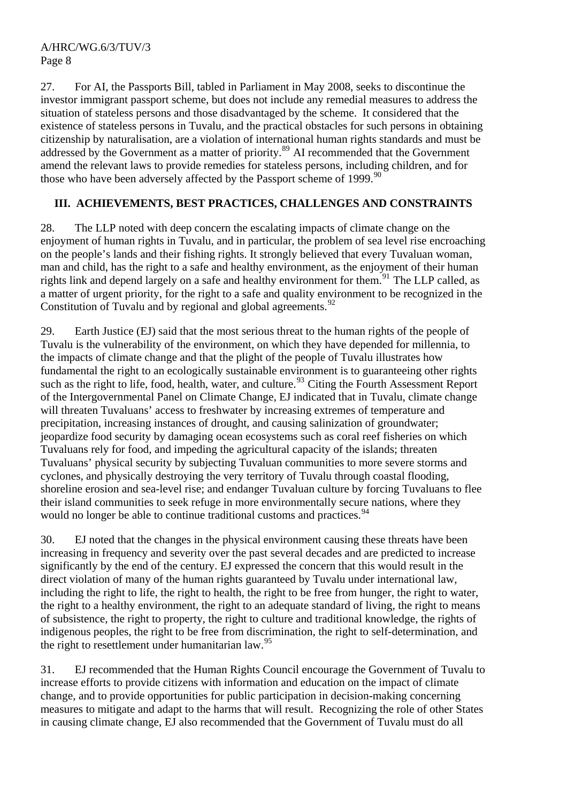27. For AI, the Passports Bill, tabled in Parliament in May 2008, seeks to discontinue the investor immigrant passport scheme, but does not include any remedial measures to address the situation of stateless persons and those disadvantaged by the scheme. It considered that the existence of stateless persons in Tuvalu, and the practical obstacles for such persons in obtaining citizenship by naturalisation, are a violation of international human rights standards and must be addressed by the Government as a matter of priority.<sup>[89](#page-10-1)</sup> AI recommended that the Government amend the relevant laws to provide remedies for stateless persons, including children, and for those who have been adversely affected by the Passport scheme of  $1999$ <sup>[90](#page-10-1)</sup>

# **III. ACHIEVEMENTS, BEST PRACTICES, CHALLENGES AND CONSTRAINTS**

28. The LLP noted with deep concern the escalating impacts of climate change on the enjoyment of human rights in Tuvalu, and in particular, the problem of sea level rise encroaching on the people's lands and their fishing rights. It strongly believed that every Tuvaluan woman, man and child, has the right to a safe and healthy environment, as the enjoyment of their human rights link and depend largely on a safe and healthy environment for them.<sup>[91](#page-10-1)</sup> The LLP called, as a matter of urgent priority, for the right to a safe and quality environment to be recognized in the Constitution of Tuvalu and by regional and global agreements.<sup>[92](#page-10-1)</sup>

29. Earth Justice (EJ) said that the most serious threat to the human rights of the people of Tuvalu is the vulnerability of the environment, on which they have depended for millennia, to the impacts of climate change and that the plight of the people of Tuvalu illustrates how fundamental the right to an ecologically sustainable environment is to guaranteeing other rights such as the right to life, food, health, water, and culture.<sup>[93](#page-10-1)</sup> Citing the Fourth Assessment Report of the Intergovernmental Panel on Climate Change, EJ indicated that in Tuvalu, climate change will threaten Tuvaluans' access to freshwater by increasing extremes of temperature and precipitation, increasing instances of drought, and causing salinization of groundwater; jeopardize food security by damaging ocean ecosystems such as coral reef fisheries on which Tuvaluans rely for food, and impeding the agricultural capacity of the islands; threaten Tuvaluans' physical security by subjecting Tuvaluan communities to more severe storms and cyclones, and physically destroying the very territory of Tuvalu through coastal flooding, shoreline erosion and sea-level rise; and endanger Tuvaluan culture by forcing Tuvaluans to flee their island communities to seek refuge in more environmentally secure nations, where they would no longer be able to continue traditional customs and practices.<sup>[94](#page-10-1)</sup>

30. EJ noted that the changes in the physical environment causing these threats have been increasing in frequency and severity over the past several decades and are predicted to increase significantly by the end of the century. EJ expressed the concern that this would result in the direct violation of many of the human rights guaranteed by Tuvalu under international law, including the right to life, the right to health, the right to be free from hunger, the right to water, the right to a healthy environment, the right to an adequate standard of living, the right to means of subsistence, the right to property, the right to culture and traditional knowledge, the rights of indigenous peoples, the right to be free from discrimination, the right to self-determination, and the right to resettlement under humanitarian law.  $95$ 

31. EJ recommended that the Human Rights Council encourage the Government of Tuvalu to increase efforts to provide citizens with information and education on the impact of climate change, and to provide opportunities for public participation in decision-making concerning measures to mitigate and adapt to the harms that will result. Recognizing the role of other States in causing climate change, EJ also recommended that the Government of Tuvalu must do all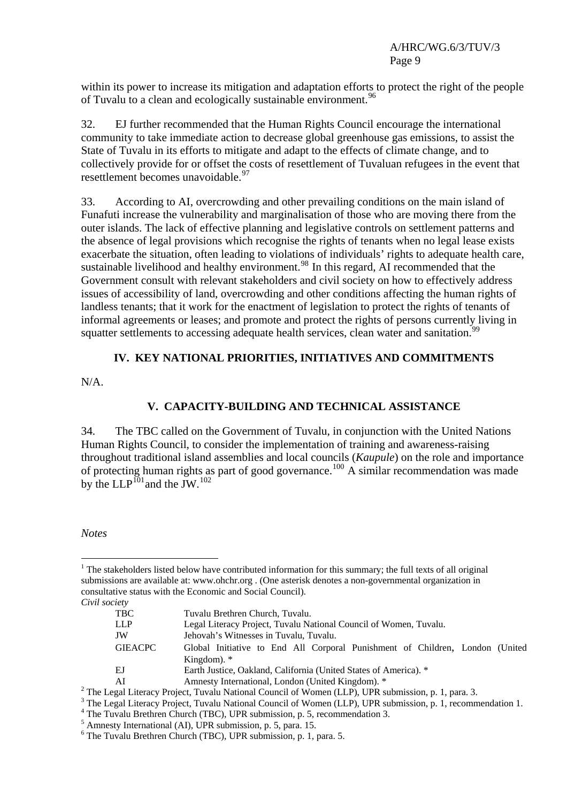within its power to increase its mitigation and adaptation efforts to protect the right of the people of Tuvalu to a clean and ecologically sustainable environment.<sup>[96](#page-10-1)</sup>

32. EJ further recommended that the Human Rights Council encourage the international community to take immediate action to decrease global greenhouse gas emissions, to assist the State of Tuvalu in its efforts to mitigate and adapt to the effects of climate change, and to collectively provide for or offset the costs of resettlement of Tuvaluan refugees in the event that resettlement becomes unavoidable.<sup>[97](#page-10-2)</sup>

33. According to AI, overcrowding and other prevailing conditions on the main island of Funafuti increase the vulnerability and marginalisation of those who are moving there from the outer islands. The lack of effective planning and legislative controls on settlement patterns and the absence of legal provisions which recognise the rights of tenants when no legal lease exists exacerbate the situation, often leading to violations of individuals' rights to adequate health care, sustainable livelihood and healthy environment.<sup>[98](#page-10-3)</sup> In this regard, AI recommended that the Government consult with relevant stakeholders and civil society on how to effectively address issues of accessibility of land, overcrowding and other conditions affecting the human rights of landless tenants; that it work for the enactment of legislation to protect the rights of tenants of informal agreements or leases; and promote and protect the rights of persons currently living in squatter settlements to accessing adequate health services, clean water and sanitation.<sup>[99](#page-10-4)</sup>

## **IV. KEY NATIONAL PRIORITIES, INITIATIVES AND COMMITMENTS**

N/A.

## **V. CAPACITY-BUILDING AND TECHNICAL ASSISTANCE**

34. The TBC called on the Government of Tuvalu, in conjunction with the United Nations Human Rights Council, to consider the implementation of training and awareness-raising throughout traditional island assemblies and local councils (*Kaupule*) on the role and importance of protecting human rights as part of good governance.<sup>[100](#page-10-5)</sup> A similar recommendation was made by the LLP $^{101}$  $^{101}$  $^{101}$  and the JW.<sup>[102](#page-10-7)</sup>

*Notes* 

 $\overline{a}$ 

<sup>&</sup>lt;sup>1</sup> The stakeholders listed below have contributed information for this summary; the full texts of all original submissions are available at: [www.ohchr.org](http://www.ohchr.org/) . (One asterisk denotes a non-governmental organization in consultative status with the Economic and Social Council). *Civil society* 

TBC Tuvalu Brethren Church, Tuvalu. LLP Legal Literacy Project, Tuvalu National Council of Women, Tuvalu. JW Jehovah's Witnesses in Tuvalu, Tuvalu. GIEACPC Global Initiative to End All Corporal Punishment of Children, London (United Kingdom). \* EJ Earth Justice, Oakland, California (United States of America). \* AI Amnesty International, London (United Kingdom). \* <sup>2</sup> The Legal Literacy Project, Tuvalu National Council of Women (LLP), UPR submission, p. 1, para. 3.

<sup>&</sup>lt;sup>3</sup> The Legal Literacy Project, Tuvalu National Council of Women (LLP), UPR submission, p. 1, recommendation 1.

<sup>&</sup>lt;sup>4</sup> The Tuvalu Brethren Church (TBC), UPR submission, p. 5, recommendation 3.

<sup>5</sup> Amnesty International (AI), UPR submission, p. 5, para. 15.

<sup>6</sup> The Tuvalu Brethren Church (TBC), UPR submission, p. 1, para. 5.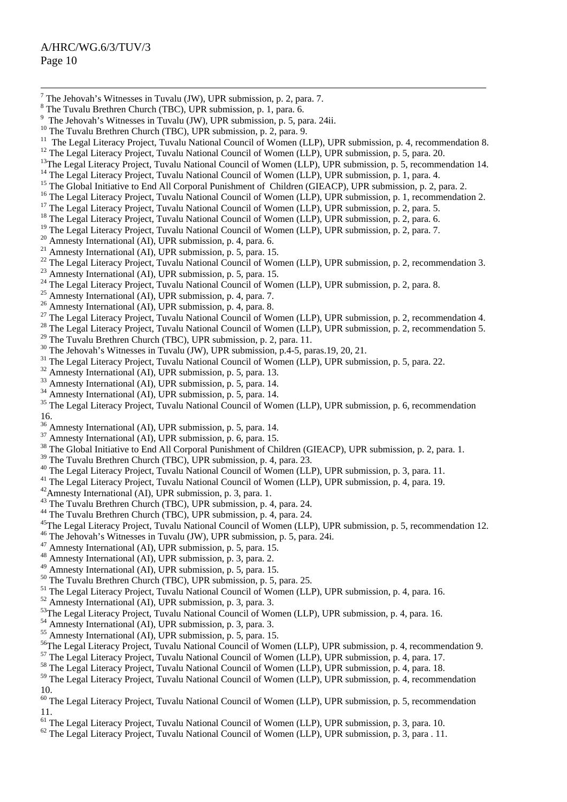- <sup>-</sup>  $^7$  The Jehovah's Witnesses in Tuvalu (JW), UPR submission, p. 2, para. 7.
- 8 The Tuvalu Brethren Church (TBC), UPR submission, p. 1, para. 6.
- <sup>9</sup> The Jehovah's Witnesses in Tuvalu (JW), UPR submission, p. 5, para. 24ii.
- <sup>10</sup> The Tuvalu Brethren Church (TBC), UPR submission, p. 2, para. 9.
- <sup>11</sup> The Legal Literacy Project, Tuvalu National Council of Women (LLP), UPR submission, p. 4, recommendation 8.
- <sup>12</sup> The Legal Literacy Project, Tuvalu National Council of Women (LLP), UPR submission, p. 5, para. 20.
- <sup>13</sup>The Legal Literacy Project, Tuvalu National Council of Women (LLP), UPR submission, p. 5, recommendation 14. <sup>14</sup> The Legal Literacy Project, Tuvalu National Council of Women (LLP), UPR submission, p. 1, para. 4.
- 
- <sup>15</sup> The Global Initiative to End All Corporal Punishment of Children (GIEACP), UPR submission, p. 2, para. 2.
- <sup>16</sup> The Legal Literacy Project, Tuvalu National Council of Women (LLP), UPR submission, p. 1, recommendation 2.
- <sup>17</sup> The Legal Literacy Project, Tuvalu National Council of Women (LLP), UPR submission, p. 2, para. 5.
- <sup>18</sup> The Legal Literacy Project, Tuvalu National Council of Women (LLP), UPR submission, p. 2, para. 6.
- <sup>19</sup> The Legal Literacy Project, Tuvalu National Council of Women (LLP), UPR submission, p. 2, para. 7.
- $20$  Amnesty International (AI), UPR submission, p. 4, para. 6.
- 21 Amnesty International (AI), UPR submission, p. 5, para. 15.
- <sup>22</sup> The Legal Literacy Project, Tuvalu National Council of Women (LLP), UPR submission, p. 2, recommendation 3.
- $^{23}$  Amnesty International (AI), UPR submission, p. 5, para. 15.
- <sup>24</sup> The Legal Literacy Project, Tuvalu National Council of Women (LLP), UPR submission, p. 2, para. 8.
- <sup>25</sup> Amnesty International (AI), UPR submission, p. 4, para. 7.
- <sup>26</sup> Amnesty International (AI), UPR submission, p. 4, para. 8.
- <sup>27</sup> The Legal Literacy Project, Tuvalu National Council of Women (LLP), UPR submission, p. 2, recommendation 4.
- <sup>28</sup> The Legal Literacy Project, Tuvalu National Council of Women (LLP), UPR submission, p. 2, recommendation 5.
- <sup>29</sup> The Tuvalu Brethren Church (TBC), UPR submission, p. 2, para. 11.
- <sup>30</sup> The Jehovah's Witnesses in Tuvalu (JW), UPR submission, p.4-5, paras.19, 20, 21.
- <sup>31</sup> The Legal Literacy Project, Tuvalu National Council of Women (LLP), UPR submission, p. 5, para. 22.
- <sup>32</sup> Amnesty International (AI), UPR submission, p. 5, para. 13.
- <sup>33</sup> Amnesty International (AI), UPR submission, p. 5, para. 14.
- $34$  Amnesty International (AI), UPR submission, p. 5, para. 14.
- <sup>35</sup> The Legal Literacy Project, Tuvalu National Council of Women (LLP), UPR submission, p. 6, recommendation 16.
- 36 Amnesty International (AI), UPR submission, p. 5, para. 14.
- $37$  Amnesty International (AI), UPR submission, p. 6, para. 15.
- <sup>38</sup> The Global Initiative to End All Corporal Punishment of Children (GIEACP), UPR submission, p. 2, para. 1.
- <sup>39</sup> The Tuvalu Brethren Church (TBC), UPR submission, p. 4, para. 23.
- 40 The Legal Literacy Project, Tuvalu National Council of Women (LLP), UPR submission, p. 3, para. 11.
- <sup>41</sup> The Legal Literacy Project, Tuvalu National Council of Women (LLP), UPR submission, p. 4, para. 19.<br><sup>42</sup> Amnesty International (AI), UPR submission, p. 3, para. 1.
- 
- <sup>43</sup> The Tuvalu Brethren Church (TBC), UPR submission, p. 4, para. 24.
- 44 The Tuvalu Brethren Church (TBC), UPR submission, p. 4, para. 24.
- <sup>45</sup>The Legal Literacy Project, Tuvalu National Council of Women (LLP), UPR submission, p. 5, recommendation 12.
- 46 The Jehovah's Witnesses in Tuvalu (JW), UPR submission, p. 5, para. 24i.
- 47 Amnesty International (AI), UPR submission, p. 5, para. 15.
- 48 Amnesty International (AI), UPR submission, p. 3, para. 2.
- 49 Amnesty International (AI), UPR submission, p. 5, para. 15.
- <sup>50</sup> The Tuvalu Brethren Church (TBC), UPR submission, p. 5, para. 25.
- 51 The Legal Literacy Project, Tuvalu National Council of Women (LLP), UPR submission, p. 4, para. 16.
- 52 Amnesty International (AI), UPR submission, p. 3, para. 3.
- <sup>53</sup>The Legal Literacy Project, Tuvalu National Council of Women (LLP), UPR submission, p. 4, para. 16.
- 54 Amnesty International (AI), UPR submission, p. 3, para. 3.
- $\frac{55}{55}$  Amnesty International (AI), UPR submission, p. 5, para. 15.
- <sup>56</sup>The Legal Literacy Project, Tuvalu National Council of Women (LLP), UPR submission, p. 4, recommendation 9.
- 57 The Legal Literacy Project, Tuvalu National Council of Women (LLP), UPR submission, p. 4, para. 17.
- <sup>58</sup> The Legal Literacy Project, Tuvalu National Council of Women (LLP), UPR submission, p. 4, para. 18.
- <sup>59</sup> The Legal Literacy Project, Tuvalu National Council of Women (LLP), UPR submission, p. 4, recommendation 10.
- <sup>60</sup> The Legal Literacy Project, Tuvalu National Council of Women (LLP), UPR submission, p. 5, recommendation 11.
- <sup>61</sup> The Legal Literacy Project, Tuvalu National Council of Women (LLP), UPR submission, p. 3, para. 10.
- $62$  The Legal Literacy Project, Tuvalu National Council of Women (LLP), UPR submission, p. 3, para . 11.